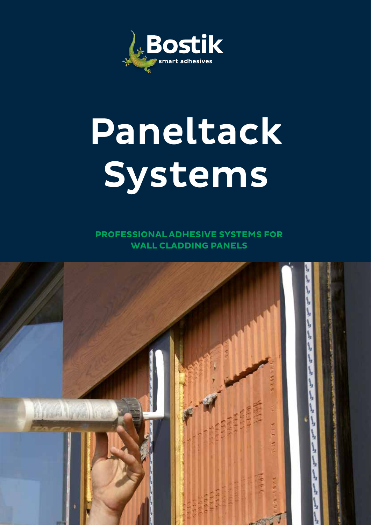

# Paneltack Systems

**PROFESSIONAL ADHESIVE SYSTEMS FOR WALL CLADDING PANELS**

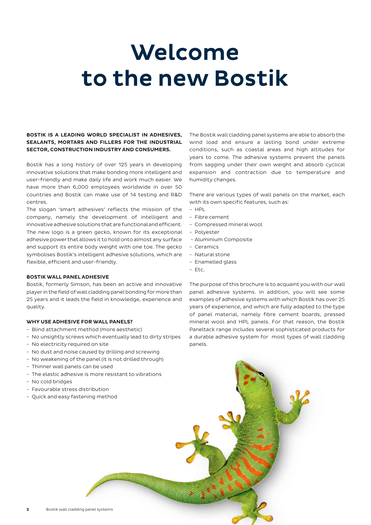# Welcome to the new Bostik

### BOSTIK IS A LEADING WORLD SPECIALIST IN ADHESIVES, SEALANTS, MORTARS AND FILLERS FOR THE INDUSTRIAL SECTOR, CONSTRUCTION INDUSTRY AND CONSUMERS.

Bostik has a long history of over 125 years in developing innovative solutions that make bonding more intelligent and user-friendly and make daily life and work much easier. We have more than 6,000 employees worldwide in over 50 countries and Bostik can make use of 14 testing and R&D centres.

The slogan 'smart adhesives' reflects the mission of the company, namely the development of intelligent and innovative adhesive solutions that are functional and efficient. The new logo is a green gecko, known for its exceptional adhesive power that allows it to hold onto almost any surface and support its entire body weight with one toe. The gecko symbolises Bostik's intelligent adhesive solutions, which are flexible, efficient and user-friendly.

### BOSTIK WALL PANEL ADHESIVE

Bostik, formerly Simson, has been an active and innovative player in the field of wall cladding panel bonding for more than 25 years and it leads the field in knowledge, experience and quality.

### WHY USE ADHESIVE FOR WALL PANELS?

- Blind attachment method (more aesthetic)
- No unsightly screws which eventually lead to dirty stripes
- No electricity required on site
- No dust and noise caused by drilling and screwing
- No weakening of the panel (it is not drilled through)
- Thinner wall panels can be used
- The elastic adhesive is more resistant to vibrations
- No cold bridges
- Favourable stress distribution
- Quick and easy fastening method

The Bostik wall cladding panel systems are able to absorb the wind load and ensure a lasting bond under extreme conditions, such as coastal areas and high altitudes for years to come. The adhesive systems prevent the panels from sagging under their own weight and absorb cyclical expansion and contraction due to temperature and humidity changes.

There are various types of wall panels on the market, each with its own specific features, such as:

- $-$  HPL
- Fibre cement
- Compressed mineral wool
- Polyester
- Aluminium Composite
- Ceramics
- Natural stone
- Enamelled glass
- Etc.

The purpose of this brochure is to acquaint you with our wall panel adhesive systems. In addition, you will see some examples of adhesive systems with which Bostik has over 25 years of experience, and which are fully adapted to the type of panel material, namely fibre cement boards, pressed mineral wool and HPL panels. For that reason, the Bostik Paneltack range includes several sophisticated products for a durable adhesive system for most types of wall cladding panels.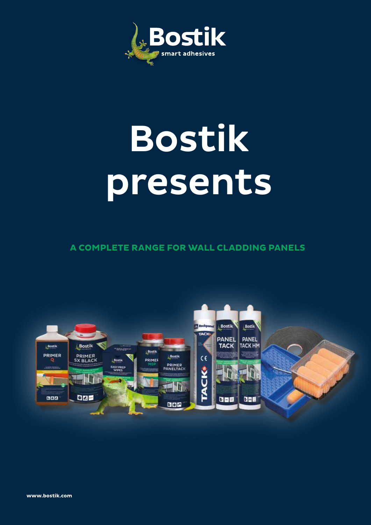

# Bostik presents

 **A COMPLETE RANGE FOR WALL CLADDING PANELS**

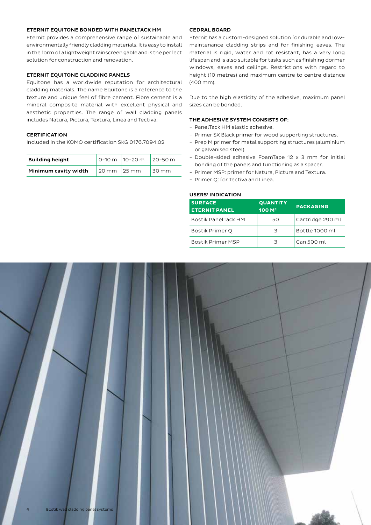### ETERNIT EQUITONE BONDED WITH PANELTACK HM

Eternit provides a comprehensive range of sustainable and environmentally friendly cladding materials. It is easy to install in the form of a lightweight rainscreen gable and is the perfect solution for construction and renovation.

### ETERNIT EQUITONE CLADDING PANELS

Equitone has a worldwide reputation for architectural cladding materials. The name Equitone is a reference to the texture and unique feel of fibre cement. Fibre cement is a mineral composite material with excellent physical and aesthetic properties. The range of wall cladding panels includes Natura, Pictura, Textura, Linea and Tectiva.

### **CERTIFICATION**

Included in the KOMO certification SKG 0176.7094.02

| <b>Building height</b> |                                 | 0-10 m 10-20 m 20-50 m |          |
|------------------------|---------------------------------|------------------------|----------|
| Minimum cavity width   | $20 \text{ mm}$ $25 \text{ mm}$ |                        | $130$ mm |

### CEDRAL BOARD

Eternit has a custom-designed solution for durable and lowmaintenance cladding strips and for finishing eaves. The material is rigid, water and rot resistant, has a very long lifespan and is also suitable for tasks such as finishing dormer windows, eaves and ceilings. Restrictions with regard to height (10 metres) and maximum centre to centre distance (400 mm).

Due to the high elasticity of the adhesive, maximum panel sizes can be bonded.

### THE ADHESIVE SYSTEM CONSISTS OF:

- PanelTack HM elastic adhesive.
- Primer SX Black primer for wood supporting structures.
- Prep M primer for metal supporting structures (aluminium or galvanised steel).
- Double-sided adhesive FoamTape 12 x 3 mm for initial bonding of the panels and functioning as a spacer.
- Primer MSP: primer for Natura, Pictura and Textura.
- Primer Q: for Tectiva and Linea.

### USERS' INDICATION

| <b>QUANTITY</b><br>100 M <sup>2</sup> | <b>PACKAGING</b> |
|---------------------------------------|------------------|
| 50                                    | Cartridge 290 ml |
| З                                     | Bottle 1000 ml   |
| З                                     | Can 500 ml       |
|                                       |                  |

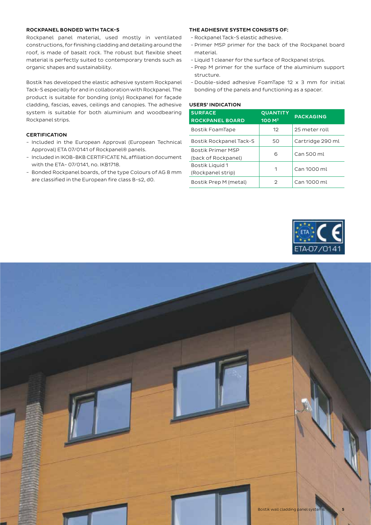### ROCKPANEL BONDED WITH TACK-S

Rockpanel panel material, used mostly in ventilated constructions, for finishing cladding and detailing around the roof, is made of basalt rock. The robust but flexible sheet material is perfectly suited to contemporary trends such as organic shapes and sustainability.

Bostik has developed the elastic adhesive system Rockpanel Tack-S especially for and in collaboration with Rockpanel. The product is suitable for bonding (only) Rockpanel for façade cladding, fascias, eaves, ceilings and canopies. The adhesive system is suitable for both aluminium and woodbearing Rockpanel strips.

### **CERTIFICATION**

- Included in the European Approval (European Technical Approval) ETA 07/0141 of Rockpanel® panels.
- Included in IKOB-BKB CERTIFICATE NL affiliation document with the ETA- 07/0141, no. IKB1718.
- Bonded Rockpanel boards, of the type Colours of AG 8 mm are classified in the European fire class B-s2, d0.

### THE ADHESIVE SYSTEM CONSISTS OF:

- Rockpanel Tack-S elastic adhesive.
- Primer MSP primer for the back of the Rockpanel board material.
- Liquid 1 cleaner for the surface of Rockpanel strips.
- Prep M primer for the surface of the aluminium support structure.
- Double-sided adhesive FoamTape 12 x 3 mm for initial bonding of the panels and functioning as a spacer.

### USERS' INDICATION

| <b>SURFACE</b><br><b>ROCKPANEL BOARD</b>        | <b>QUANTITY</b><br>100 M <sup>2</sup> | <b>PACKAGING</b> |
|-------------------------------------------------|---------------------------------------|------------------|
| Bostik FoamTape                                 | 12                                    | 25 meter roll    |
| Bostik Rockpanel Tack-S                         | 50                                    | Cartridge 290 ml |
| <b>Bostik Primer MSP</b><br>(back of Rockpanel) | 6                                     | Can 500 ml       |
| Bostik Liguid 1<br>(Rockpanel strip)            | 1                                     | Can 1000 ml      |
| Bostik Prep M (metal)                           | 2                                     | Can 1000 ml      |



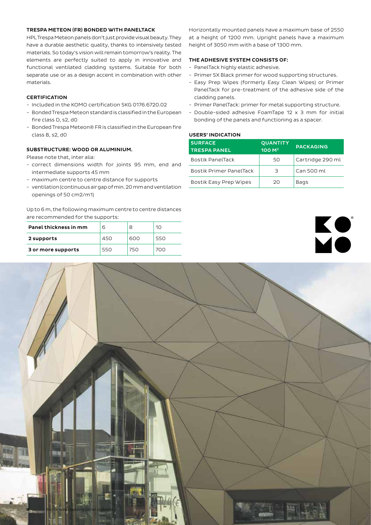### TRESPA METEON (FR) BONDED WITH PANELTACK

HPL Trespa Meteon panels don't just provide visual beauty. They have a durable aesthetic quality, thanks to intensively tested materials. So today's vision will remain tomorrow's reality. The elements are perfectly suited to apply in innovative and functional ventilated cladding systems. Suitable for both separate use or as a design accent in combination with other materials.

### **CERTIFICATION**

- Included in the KOMO certification SKG 0176.6720.02
- Bonded Trespa Meteon standard is classified in the European fire class D, s2, d0
- Bonded Trespa Meteon® FR is classified in the European fire class B, s2, d0

### SUBSTRUCTURE: WOOD OR ALUMINIUM.

Please note that, inter alia:

- correct dimensions width for joints 95 mm, end and intermediate supports 45 mm
- maximum centre to centre distance for supports
- ventilation (continuous air gap of min. 20 mm and ventilation openings of 50 cm2/m1)

Up to 6 m, the following maximum centre to centre distances are recommended for the supports:

| Panel thickness in mm | 6   | 8   | 10  |
|-----------------------|-----|-----|-----|
| 2 supports            | 450 | 600 | 550 |
| 3 or more supports    | 550 | 750 | 700 |

Horizontally mounted panels have a maximum base of 2550 at a height of 1200 mm. Upright panels have a maximum height of 3050 mm with a base of 1300 mm.

### THE ADHESIVE SYSTEM CONSISTS OF:

- PanelTack highly elastic adhesive.
- Primer SX Black primer for wood supporting structures.
- Easy Prep Wipes (formerly Easy Clean Wipes) or Primer PanelTack for pre-treatment of the adhesive side of the cladding panels.
- Primer PanelTack: primer for metal supporting structure.
- Double-sided adhesive FoamTape 12 x 3 mm for initial bonding of the panels and functioning as a spacer.

### USERS' INDICATION

| <b>SURFACE</b><br><b>TRESPA PANEL</b> | <b>QUANTITY</b><br>100 M <sup>2</sup> | <b>PACKAGING</b> |
|---------------------------------------|---------------------------------------|------------------|
| Bostik PanelTack                      | 50                                    | Cartridge 290 ml |
| <b>Bostik Primer PanelTack</b>        | З                                     | Can 500 ml       |
| Bostik Easy Prep Wipes                | 20                                    | Bags             |



# **6 Bostik wall cladding panel systems**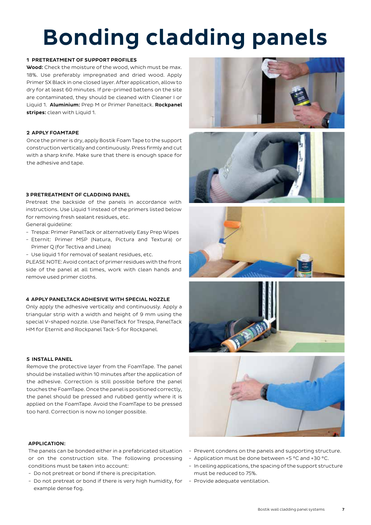# Bonding cladding panels

### 1 PRETREATMENT OF SUPPORT PROFILES

Wood: Check the moisture of the wood, which must be max. 18%. Use preferably impregnated and dried wood. Apply Primer SX Black in one closed layer. After application, allow to dry for at least 60 minutes. If pre-primed battens on the site are contaminated, they should be cleaned with Cleaner I or Liquid 1. Aluminium: Prep M or Primer Paneltack. Rockpanel stripes: clean with Liquid 1.

### 2 APPLY FOAMTAPE

Once the primer is dry, apply Bostik Foam Tape to the support construction vertically and continuously. Press firmly and cut with a sharp knife. Make sure that there is enough space for the adhesive and tape.

### 3 PRETREATMENT OF CLADDING PANEL

Pretreat the backside of the panels in accordance with instructions. Use Liquid 1 instead of the primers listed below for removing fresh sealant residues, etc.

General guideline:

- Trespa: Primer PanelTack or alternatively Easy Prep Wipes
- Eternit: Primer MSP (Natura, Pictura and Textura) or Primer Q (for Tectiva and Linea)
- Use liquid 1 for removal of sealant residues, etc.

PLEASE NOTE: Avoid contact of primer residues with the front side of the panel at all times, work with clean hands and remove used primer cloths.

### 4 APPLY PANELTACK ADHESIVE WITH SPECIAL NOZZLE

Only apply the adhesive vertically and continuously. Apply a triangular strip with a width and height of 9 mm using the special V-shaped nozzle. Use PanelTack for Trespa, PanelTack HM for Eternit and Rockpanel Tack-S for Rockpanel.

### 5 INSTALL PANEL

Remove the protective layer from the FoamTape. The panel should be installed within 10 minutes after the application of the adhesive. Correction is still possible before the panel touches the FoamTape. Once the panel is positioned correctly, the panel should be pressed and rubbed gently where it is applied on the FoamTape. Avoid the FoamTape to be pressed too hard. Correction is now no longer possible.

### APPLICATION:

The panels can be bonded either in a prefabricated situation or on the construction site. The following processing conditions must be taken into account:

- Do not pretreat or bond if there is precipitation.
- Do not pretreat or bond if there is very high humidity, for Provide adequate ventilation. example dense fog.











- Prevent condens on the panels and supporting structure.
- Application must be done between +5 °C and +30 °C.
- In ceiling applications, the spacing of the support structure must be reduced to 75%.
-